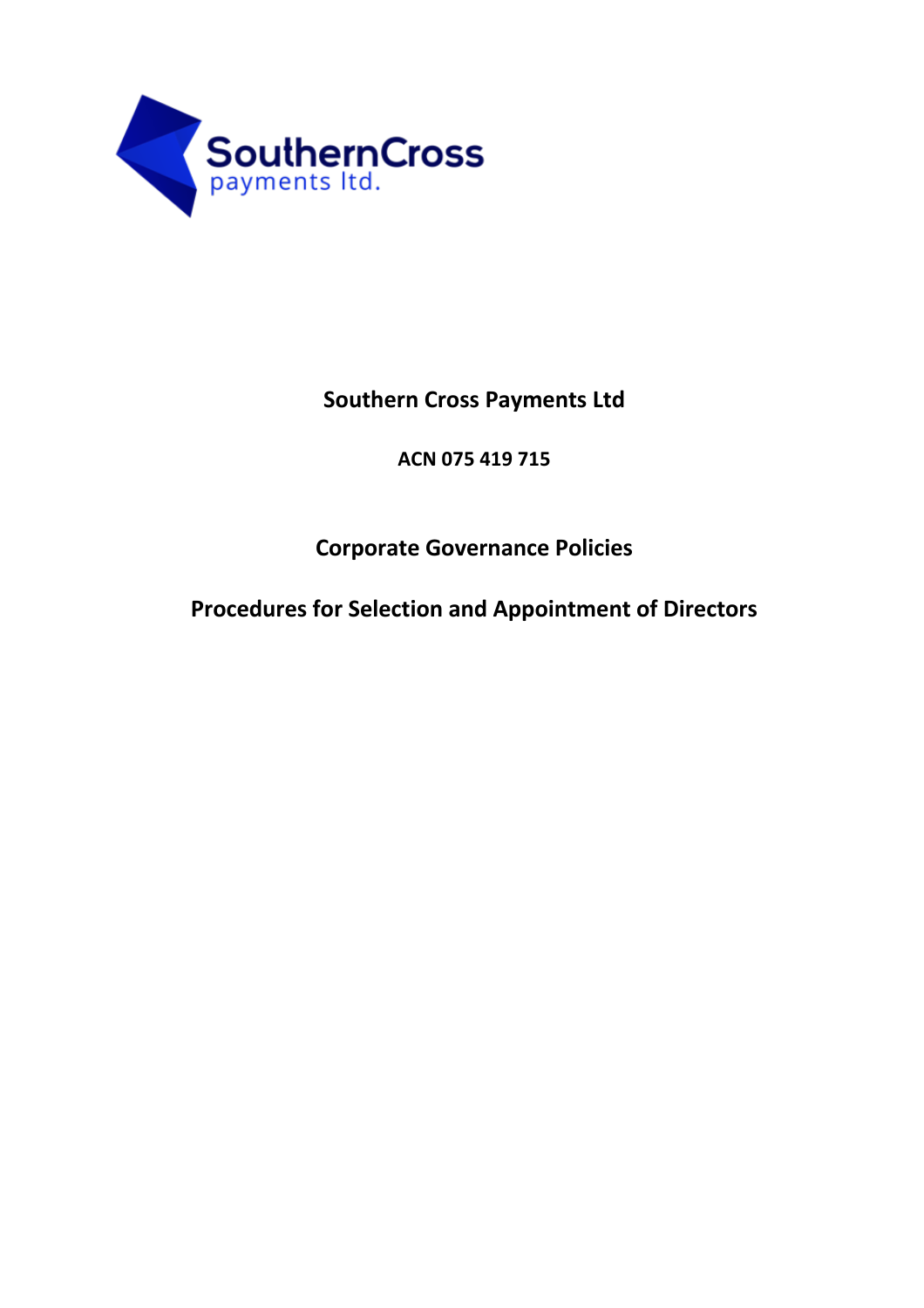

## **Southern Cross Payments Ltd**

**ACN 075 419 715**

## **Corporate Governance Policies**

**Procedures for Selection and Appointment of Directors**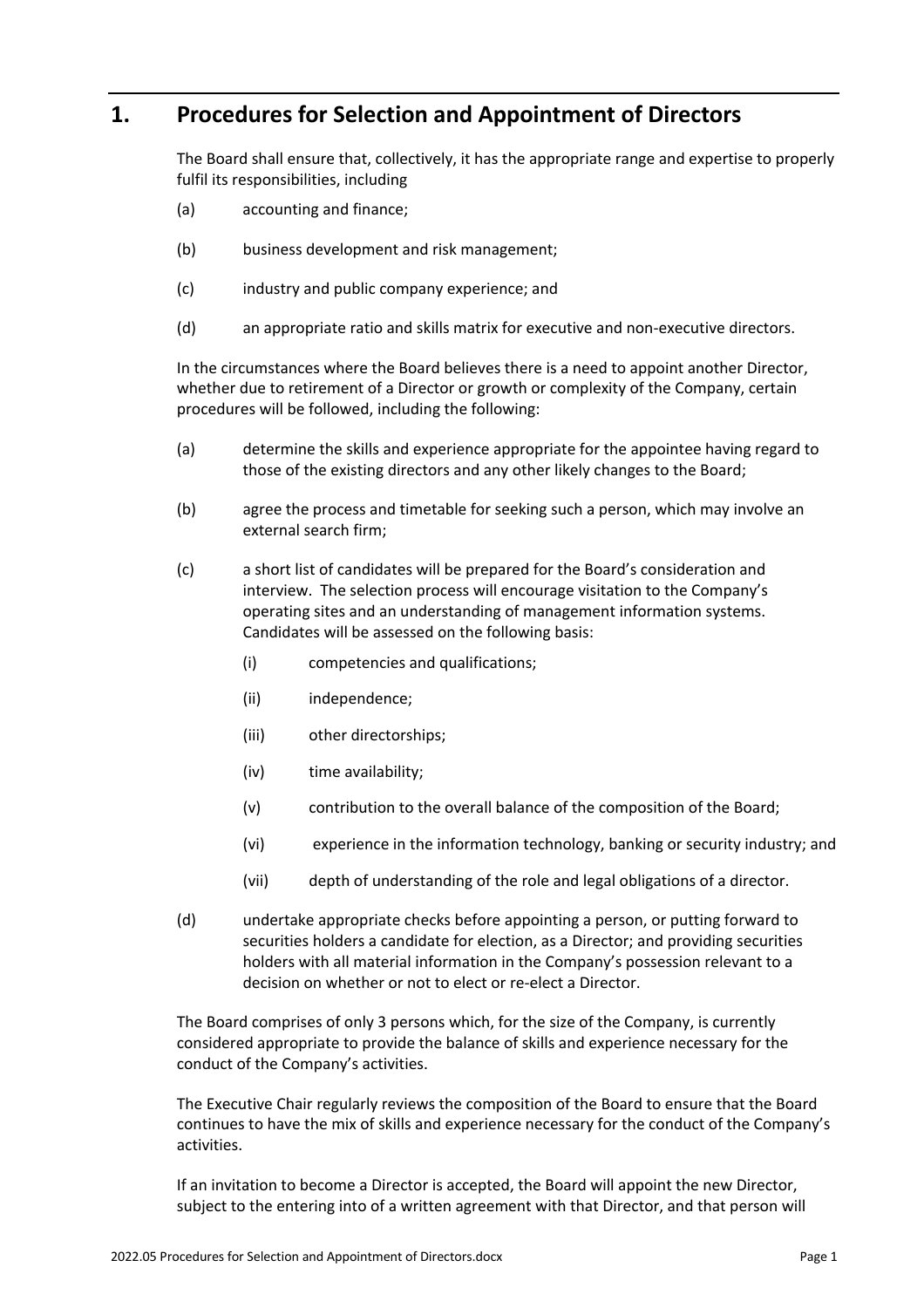## **1. Procedures for Selection and Appointment of Directors**

The Board shall ensure that, collectively, it has the appropriate range and expertise to properly fulfil its responsibilities, including

- (a) accounting and finance;
- (b) business development and risk management;
- (c) industry and public company experience; and
- (d) an appropriate ratio and skills matrix for executive and non-executive directors.

In the circumstances where the Board believes there is a need to appoint another Director, whether due to retirement of a Director or growth or complexity of the Company, certain procedures will be followed, including the following:

- (a) determine the skills and experience appropriate for the appointee having regard to those of the existing directors and any other likely changes to the Board;
- (b) agree the process and timetable for seeking such a person, which may involve an external search firm;
- (c) a short list of candidates will be prepared for the Board's consideration and interview. The selection process will encourage visitation to the Company's operating sites and an understanding of management information systems. Candidates will be assessed on the following basis:
	- (i) competencies and qualifications;
	- (ii) independence;
	- (iii) other directorships;
	- (iv) time availability;
	- (v) contribution to the overall balance of the composition of the Board;
	- (vi) experience in the information technology, banking or security industry; and
	- (vii) depth of understanding of the role and legal obligations of a director.
- (d) undertake appropriate checks before appointing a person, or putting forward to securities holders a candidate for election, as a Director; and providing securities holders with all material information in the Company's possession relevant to a decision on whether or not to elect or re-elect a Director.

The Board comprises of only 3 persons which, for the size of the Company, is currently considered appropriate to provide the balance of skills and experience necessary for the conduct of the Company's activities.

The Executive Chair regularly reviews the composition of the Board to ensure that the Board continues to have the mix of skills and experience necessary for the conduct of the Company's activities.

If an invitation to become a Director is accepted, the Board will appoint the new Director, subject to the entering into of a written agreement with that Director, and that person will